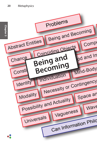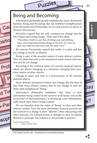Being and Becoming **21**

**Chapter 3**

## Being and Becoming

Cal

**Oitio** 

mor

Prob

d Tin

<sub>2</sub>-Par

,soph

Information philosophy greatly simplifies the classic dichotomy between Being and Becoming that has bothered metaphysicians from Heraclitus and Parmenides, PLATO and ARISTOTLE down to Martin Heidegger.

Puzzles

Heraclitus argued that the only constants are change and the laws (logos) governing change. Plato said of his ideas:

"Heraclitus, I believe, says that all things pass and nothing stays, and comparing existing things to the flow of a river, he says you could not step twice into the same river."<sup>1</sup>

By contrast, Parmenides argued that reality is a unity and that any change is merely an illusion.

Being is part of the essential nature of some abstract entities. They are ideas that exist in the immaterial realm of pure information and do not change.

Becoming is the essential nature of concrete material objects, which are always changing, at a minimum changing their positions relative to other objects.

Change in space and time is a characteristic of all concrete material objects.

Some abstract immaterial entities also change, like the time of day. Only those abstract entities that do not change in time are those with metaphysical "Being."

Information philosophy establishes that there is new information being created in the universe at all times, even as the second law of thermodynamics is destroying some information, sadly much more than is being created.

We can therefore limit the realm of "Being" to ideas and other abstract entities. Even the most elementary material particles are not resistant to a change in their "identity" when interacting with other particles. An isolated proton is thought to have an infinite lifetime in principle, but isolation is not possible in practice.

1 Plato, *Cratylus* 402a

This chapter on the web - metaphysicist.com/problems/being

 $\lambda$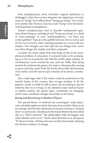Now metaphysicians, from Aristotle's original definitions to Heidegger's claim that we have forgotten the original pre-Socratic sense of "being," have talked about "being *qua* being." Even medieval scholars like Thomas Aquinas took "being" to be the fundamental ground of metaphysics.

Today's metaphysicians tend to describe fundamental questions about being as ontological and "being *qua* being" as a kind of "meta-ontology" or even "metametaphysics." Are these just verbal quibbles? Typical is the quibble between David Lewis and PETER VAN INWAGEN when counting existents in a room with two simples. Van Inwagen says that only the two things exist. Lewis sees three things, the simples and their composite.

Consider the statue made from that lump of clay in the metaphysical problem of colocation. It certainly looks to be unchanging as it sits on its pedestal. But with the earth's rapid rotation, its revolutionary travel around the sun, and our Milky Way flying around the Andromeda galaxy, the statue is dramatically moving in space and time, apart from the barely observable deterioration of its surface and the microscopic motions of its atomic constituents.

One could argue that if the statue could be positioned in the inertial frame of the cosmos, that average position of all the galaxies, surely it would sit still in space, but according to special relativity this too is wrong. In the infinitely many inertial frames in relative motion, the statue's space coordinates are changing, and its time coordinate changes inexorably in all frames.

## Being and Becoming in Modern Physics

The special theory of relativity has encouraged many physicists and philosophers to think that time does not flow (there is no becoming), that the time dimension from past to future is "already there" in some sense. The physicist Hermann Minkowski described this as a "block universe." The philosopher John McTaggart and other idealists such as J.J.C. Smart described this as an atemporal "B" theory of time. All these theories are like Parmenides' denying the obvious evidence of change.